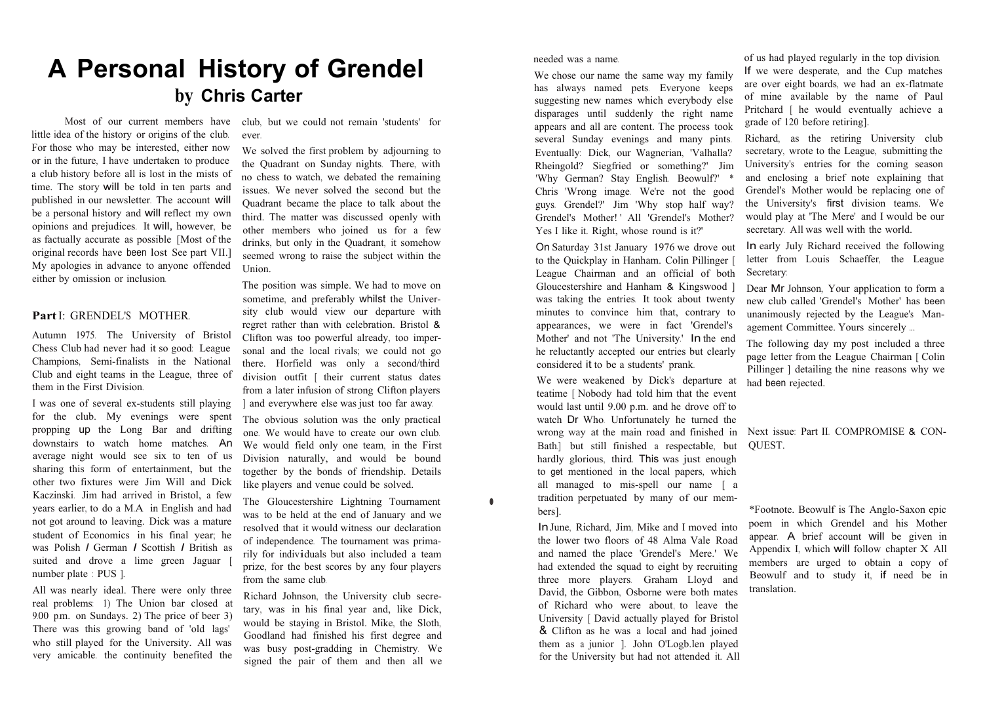## **A Personal History of Grendel by Chris Carter**

Most of our current members have little idea of the history or origins of the club. For those who may be interested, either now or in the future, I have undertaken to produce a club history before all is lost in the mists of time. The story will be told in ten parts and published in our newsletter. The account will be a personal history and will reflect my own opinions and prejudices. It will, however, be as factually accurate as possible [Most of the original records have been lost See part VII.] My apologies in advance to anyone offended either by omission or inclusion.

## **Part** I: GRENDEL'S MOTHER.

Autumn 1975. The University of Bristol Chess Club had never had it so good: League Champions, Semi-finalists in the National Club and eight teams in the League, three of them in the First Division.

I was one of several ex-students still playing for the club. My evenings were spent propping up the Long Bar and drifting downstairs to watch home matches. An average night would see six to ten of us sharing this form of entertainment, but the other two fixtures were Jim Will and Dick Kaczinski. Jim had arrived in Bristol, a few years earlier, to do a M.A in English and had not got around to leaving. Dick was a mature student of Economics in his final year; he was Polish *I* German *I* Scottish *I* British as suited and drove a lime green Jaguar [ number plate : PUS ].

All was nearly ideal. There were only three real problems: 1) The Union bar closed at 9.00 p.m. on Sundays. 2) The price of beer 3) There was this growing band of 'old lags' who still played for the University. All was very amicable. the continuity benefited the club, but we could not remain 'students' for ever.

We solved the first problem by adjourning to the Quadrant on Sunday nights. There, with no chess to watch, we debated the remaining issues. We never solved the second but the Quadrant became the place to talk about the third. The matter was discussed openly with other members who joined us for a few drinks, but only in the Quadrant, it somehow seemed wrong to raise the subject within the Union.

The position was simple. We had to move on sometime, and preferably whilst the University club would view our departure with regret rather than with celebration. Bristol & Clifton was too powerful already, too impersonal and the local rivals; we could not go there. Horfield was only a second/third division outfit [ their current status dates from a later infusion of strong Clifton players ] and everywhere else was just too far away.

The obvious solution was the only practical one. We would have to create our own club. We would field only one team, in the First Division naturally, and would be bound together by the bonds of friendship. Details like players and venue could be solved.

The Gloucestershire Lightning Tournament was to be held at the end of January and we resolved that it would witness our declaration of independence. The tournament was primarily for individuals but also included a team prize, for the best scores by any four players from the same club.

Richard Johnson, the University club secretary, was in his final year and, like Dick, would be staying in Bristol. Mike, the Sloth, Goodland had finished his first degree and was busy post-gradding in Chemistry. We signed the pair of them and then all we